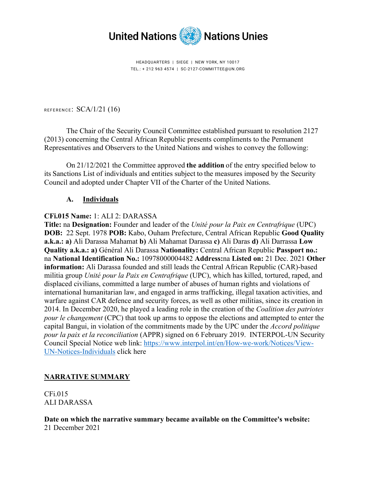

HEADQUARTERS | SIEGE | NEW YORK, NY 10017 TEL.: + 212 963 4574 | SC-2127-COMMITTEE@UN.ORG

REFERENCE:  $SCA/1/21$  (16)

The Chair of the Security Council Committee established pursuant to resolution 2127 (2013) concerning the Central African Republic presents compliments to the Permanent Representatives and Observers to the United Nations and wishes to convey the following:

On 21/12/2021 the Committee approved **the addition**of the entry specified below to its Sanctions List of individuals and entities subject to the measures imposed by the Security Council and adopted under Chapter VII of the Charter of the United Nations.

## **A. Individuals**

## **CFi.015 Name:** 1: ALI 2: DARASSA

**Title:** na **Designation:** Founder and leader of the *Unité pour la Paix en Centrafrique* (UPC) **DOB:** 22 Sept. 1978 **POB:** Kabo, Ouham Prefecture, Central African Republic **Good Quality a.k.a.: a)** Ali Darassa Mahamat **b)** Ali Mahamat Darassa **c)** Ali Daras **d)** Ali Darrassa **Low Quality a.k.a.: a)** Général Ali Darassa **Nationality:** Central African Republic **Passport no.:**  na **National Identification No.:** 10978000004482 **Address:**na **Listed on:** 21 Dec. 2021 **Other information:** Ali Darassa founded and still leads the Central African Republic (CAR)-based militia group *Unité pour la Paix en Centrafrique* (UPC), which has killed, tortured, raped, and displaced civilians, committed a large number of abuses of human rights and violations of international humanitarian law, and engaged in arms trafficking, illegal taxation activities, and warfare against CAR defence and security forces, as well as other militias, since its creation in 2014. In December 2020, he played a leading role in the creation of the *Coalition des patriotes pour le changement* (CPC) that took up arms to oppose the elections and attempted to enter the capital Bangui, in violation of the commitments made by the UPC under the *Accord politique pour la paix et la reconciliation* (APPR) signed on 6 February 2019. INTERPOL-UN Security Council Special Notice web link: https://www.interpol.int/en/How-we-work/Notices/View-UN-Notices-Individuals click here

# **NARRATIVE SUMMARY**

CFi.015 ALI DARASSA

**Date on which the narrative summary became available on the Committee's website:** 21 December 2021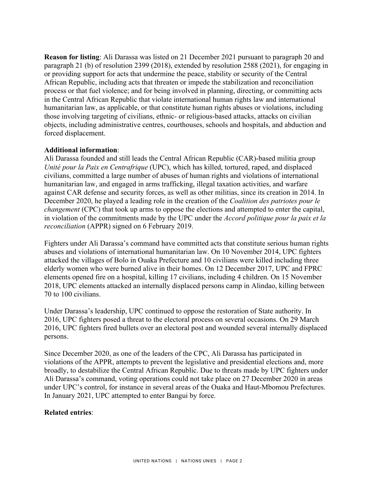**Reason for listing**: Ali Darassa was listed on 21 December 2021 pursuant to paragraph 20 and paragraph 21 (b) of resolution 2399 (2018), extended by resolution 2588 (2021), for engaging in or providing support for acts that undermine the peace, stability or security of the Central African Republic, including acts that threaten or impede the stabilization and reconciliation process or that fuel violence; and for being involved in planning, directing, or committing acts in the Central African Republic that violate international human rights law and international humanitarian law, as applicable, or that constitute human rights abuses or violations, including those involving targeting of civilians, ethnic- or religious-based attacks, attacks on civilian objects, including administrative centres, courthouses, schools and hospitals, and abduction and forced displacement.

### **Additional information**:

Ali Darassa founded and still leads the Central African Republic (CAR)-based militia group *Unité pour la Paix en Centrafrique* (UPC), which has killed, tortured, raped, and displaced civilians, committed a large number of abuses of human rights and violations of international humanitarian law, and engaged in arms trafficking, illegal taxation activities, and warfare against CAR defense and security forces, as well as other militias, since its creation in 2014. In December 2020, he played a leading role in the creation of the *Coalition des patriotes pour le changement* (CPC) that took up arms to oppose the elections and attempted to enter the capital, in violation of the commitments made by the UPC under the *Accord politique pour la paix et la reconciliation* (APPR) signed on 6 February 2019.

Fighters under Ali Darassa's command have committed acts that constitute serious human rights abuses and violations of international humanitarian law. On 10 November 2014, UPC fighters attacked the villages of Bolo in Ouaka Prefecture and 10 civilians were killed including three elderly women who were burned alive in their homes. On 12 December 2017, UPC and FPRC elements opened fire on a hospital, killing 17 civilians, including 4 children. On 15 November 2018, UPC elements attacked an internally displaced persons camp in Alindao, killing between 70 to 100 civilians.

Under Darassa's leadership, UPC continued to oppose the restoration of State authority. In 2016, UPC fighters posed a threat to the electoral process on several occasions. On 29 March 2016, UPC fighters fired bullets over an electoral post and wounded several internally displaced persons.

Since December 2020, as one of the leaders of the CPC, Ali Darassa has participated in violations of the APPR, attempts to prevent the legislative and presidential elections and, more broadly, to destabilize the Central African Republic. Due to threats made by UPC fighters under Ali Darassa's command, voting operations could not take place on 27 December 2020 in areas under UPC's control, for instance in several areas of the Ouaka and Haut-Mbomou Prefectures. In January 2021, UPC attempted to enter Bangui by force.

#### **Related entries**: